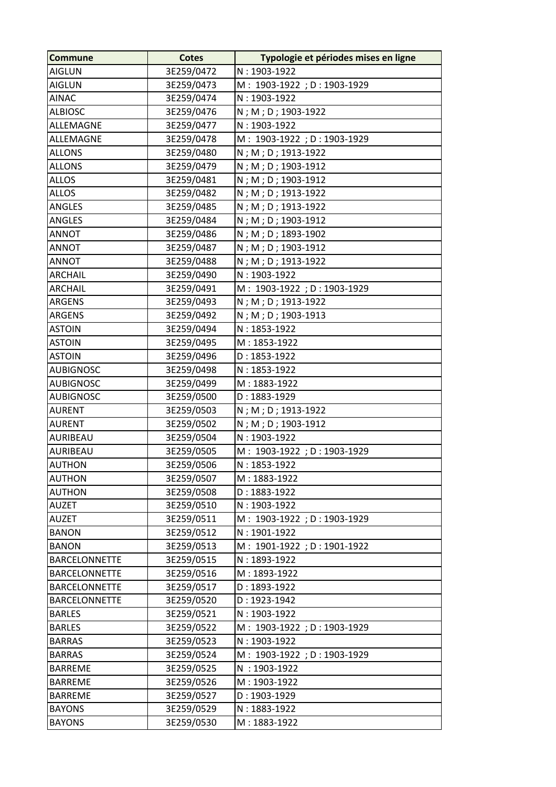| <b>Commune</b>       | <b>Cotes</b> | Typologie et périodes mises en ligne |
|----------------------|--------------|--------------------------------------|
| <b>AIGLUN</b>        | 3E259/0472   | $N: 1903 - 1922$                     |
| <b>AIGLUN</b>        | 3E259/0473   | M: 1903-1922; D: 1903-1929           |
| <b>AINAC</b>         | 3E259/0474   | N: 1903-1922                         |
| <b>ALBIOSC</b>       | 3E259/0476   | N; M; D; 1903-1922                   |
| ALLEMAGNE            | 3E259/0477   | $N: 1903 - 1922$                     |
| ALLEMAGNE            | 3E259/0478   | M: 1903-1922; D: 1903-1929           |
| <b>ALLONS</b>        | 3E259/0480   | N; M; D; 1913-1922                   |
| <b>ALLONS</b>        | 3E259/0479   | N; M; D; 1903-1912                   |
| <b>ALLOS</b>         | 3E259/0481   | N; M; D; 1903-1912                   |
| <b>ALLOS</b>         | 3E259/0482   | N; M; D; 1913-1922                   |
| <b>ANGLES</b>        | 3E259/0485   | N; M; D; 1913-1922                   |
| <b>ANGLES</b>        | 3E259/0484   | N; M; D; 1903-1912                   |
| <b>ANNOT</b>         | 3E259/0486   | N; M; D; 1893-1902                   |
| <b>ANNOT</b>         | 3E259/0487   | N; M; D; 1903-1912                   |
| <b>ANNOT</b>         | 3E259/0488   | N; M; D; 1913-1922                   |
| <b>ARCHAIL</b>       | 3E259/0490   | N: 1903-1922                         |
| <b>ARCHAIL</b>       | 3E259/0491   | M: 1903-1922; D: 1903-1929           |
| <b>ARGENS</b>        | 3E259/0493   | N; M; D; 1913-1922                   |
| <b>ARGENS</b>        | 3E259/0492   | N; M; D; 1903-1913                   |
| <b>ASTOIN</b>        | 3E259/0494   | $N: 1853 - 1922$                     |
| <b>ASTOIN</b>        | 3E259/0495   | M: 1853-1922                         |
| <b>ASTOIN</b>        | 3E259/0496   | $D: 1853 - 1922$                     |
| <b>AUBIGNOSC</b>     | 3E259/0498   | $N: 1853 - 1922$                     |
| <b>AUBIGNOSC</b>     | 3E259/0499   | M: 1883-1922                         |
| <b>AUBIGNOSC</b>     | 3E259/0500   | $D: 1883 - 1929$                     |
| <b>AURENT</b>        | 3E259/0503   | $N$ ; M; D; 1913-1922                |
| <b>AURENT</b>        | 3E259/0502   | N; M; D; 1903-1912                   |
| AURIBEAU             | 3E259/0504   | $N: 1903 - 1922$                     |
| AURIBEAU             | 3E259/0505   | M: 1903-1922; D: 1903-1929           |
| <b>AUTHON</b>        | 3E259/0506   | $N: 1853 - 1922$                     |
| <b>AUTHON</b>        | 3E259/0507   | M: 1883-1922                         |
| <b>AUTHON</b>        | 3E259/0508   | $D: 1883 - 1922$                     |
| <b>AUZET</b>         | 3E259/0510   | $N: 1903 - 1922$                     |
| <b>AUZET</b>         | 3E259/0511   | M: 1903-1922; D: 1903-1929           |
| <b>BANON</b>         | 3E259/0512   | N: 1901-1922                         |
| <b>BANON</b>         | 3E259/0513   | M: 1901-1922; D: 1901-1922           |
| <b>BARCELONNETTE</b> | 3E259/0515   | $N: 1893 - 1922$                     |
| <b>BARCELONNETTE</b> | 3E259/0516   | M: 1893-1922                         |
| <b>BARCELONNETTE</b> | 3E259/0517   | $D: 1893 - 1922$                     |
| <b>BARCELONNETTE</b> | 3E259/0520   | $D: 1923 - 1942$                     |
| <b>BARLES</b>        | 3E259/0521   | N: 1903-1922                         |
| <b>BARLES</b>        | 3E259/0522   | M: 1903-1922; D: 1903-1929           |
| <b>BARRAS</b>        | 3E259/0523   | $N: 1903 - 1922$                     |
| <b>BARRAS</b>        | 3E259/0524   | M: 1903-1922; D: 1903-1929           |
| <b>BARREME</b>       | 3E259/0525   | N: 1903-1922                         |
| <b>BARREME</b>       | 3E259/0526   | M: 1903-1922                         |
| <b>BARREME</b>       | 3E259/0527   | $D: 1903 - 1929$                     |
| <b>BAYONS</b>        | 3E259/0529   | $N: 1883 - 1922$                     |
| <b>BAYONS</b>        | 3E259/0530   | M: 1883-1922                         |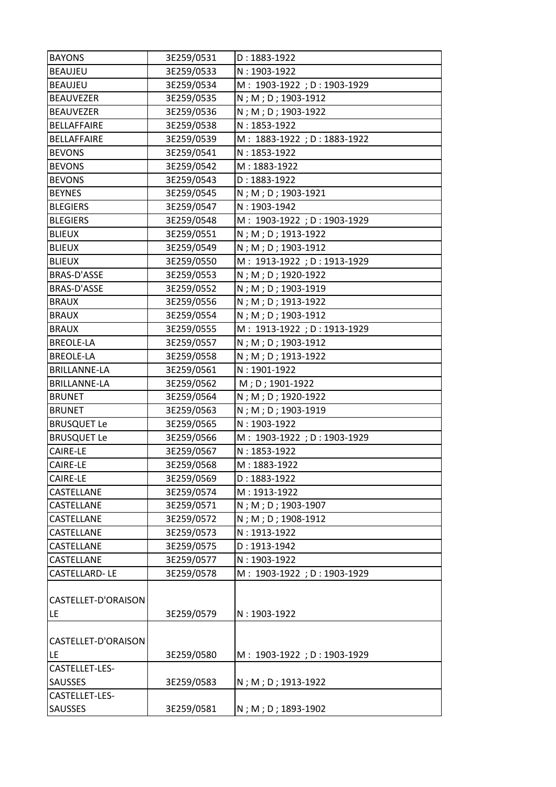| <b>BAYONS</b>        | 3E259/0531 | $D: 1883 - 1922$           |
|----------------------|------------|----------------------------|
| <b>BEAUJEU</b>       | 3E259/0533 | $N: 1903 - 1922$           |
| <b>BEAUJEU</b>       | 3E259/0534 | M: 1903-1922; D: 1903-1929 |
| <b>BEAUVEZER</b>     | 3E259/0535 | N; M; D; 1903-1912         |
| <b>BEAUVEZER</b>     | 3E259/0536 | N; M; D; 1903-1922         |
| <b>BELLAFFAIRE</b>   | 3E259/0538 | $N: 1853 - 1922$           |
| <b>BELLAFFAIRE</b>   | 3E259/0539 | M: 1883-1922; D: 1883-1922 |
| <b>BEVONS</b>        | 3E259/0541 | $N: 1853 - 1922$           |
| <b>BEVONS</b>        | 3E259/0542 | $M: 1883 - 1922$           |
| <b>BEVONS</b>        | 3E259/0543 | $D: 1883 - 1922$           |
| <b>BEYNES</b>        | 3E259/0545 | N; M; D; 1903-1921         |
| <b>BLEGIERS</b>      | 3E259/0547 | $N: 1903 - 1942$           |
| <b>BLEGIERS</b>      | 3E259/0548 | M: 1903-1922; D: 1903-1929 |
| <b>BLIEUX</b>        | 3E259/0551 | N; M; D; 1913-1922         |
| <b>BLIEUX</b>        | 3E259/0549 | N; M; D; 1903-1912         |
| <b>BLIEUX</b>        | 3E259/0550 | M: 1913-1922; D: 1913-1929 |
| BRAS-D'ASSE          | 3E259/0553 | N; M; D; 1920-1922         |
| BRAS-D'ASSE          | 3E259/0552 | N; M; D; 1903-1919         |
| <b>BRAUX</b>         | 3E259/0556 | N; M; D; 1913-1922         |
| <b>BRAUX</b>         | 3E259/0554 | N; M; D; 1903-1912         |
| <b>BRAUX</b>         | 3E259/0555 | M: 1913-1922; D: 1913-1929 |
| <b>BREOLE-LA</b>     | 3E259/0557 | N; M; D; 1903-1912         |
| <b>BREOLE-LA</b>     | 3E259/0558 | N; M; D; 1913-1922         |
| <b>BRILLANNE-LA</b>  | 3E259/0561 | $N: 1901 - 1922$           |
| <b>BRILLANNE-LA</b>  | 3E259/0562 | M; D; 1901-1922            |
| <b>BRUNET</b>        | 3E259/0564 | N; M; D; 1920-1922         |
| <b>BRUNET</b>        | 3E259/0563 | N; M; D; 1903-1919         |
| <b>BRUSQUET Le</b>   | 3E259/0565 | $N: 1903 - 1922$           |
| <b>BRUSQUET Le</b>   | 3E259/0566 | M: 1903-1922; D: 1903-1929 |
| CAIRE-LE             | 3E259/0567 | N: 1853-1922               |
| <b>CAIRE-LE</b>      | 3E259/0568 | M: 1883-1922               |
| CAIRE-LE             | 3E259/0569 | $D: 1883 - 1922$           |
| CASTELLANE           | 3E259/0574 | M: 1913-1922               |
| CASTELLANE           | 3E259/0571 | N; M; D; 1903-1907         |
| CASTELLANE           | 3E259/0572 | N; M; D; 1908-1912         |
| CASTELLANE           | 3E259/0573 | $N: 1913 - 1922$           |
| CASTELLANE           | 3E259/0575 | $D: 1913 - 1942$           |
| CASTELLANE           | 3E259/0577 | $N: 1903 - 1922$           |
| <b>CASTELLARD-LE</b> | 3E259/0578 | M: 1903-1922; D: 1903-1929 |
|                      |            |                            |
| CASTELLET-D'ORAISON  |            |                            |
| LE                   | 3E259/0579 | N: 1903-1922               |
|                      |            |                            |
| CASTELLET-D'ORAISON  |            |                            |
| LE.                  | 3E259/0580 | M: 1903-1922; D: 1903-1929 |
| CASTELLET-LES-       |            |                            |
| <b>SAUSSES</b>       | 3E259/0583 | N; M; D; 1913-1922         |
| CASTELLET-LES-       |            |                            |
| SAUSSES              | 3E259/0581 | N; M; D; 1893-1902         |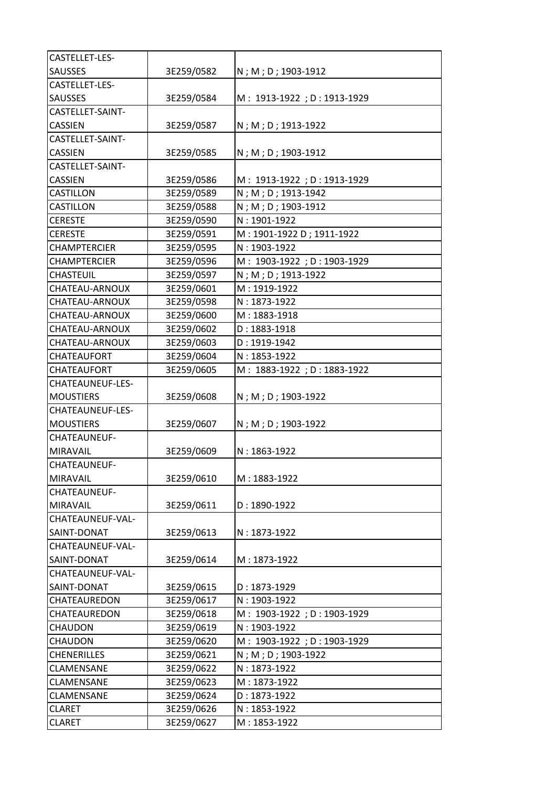| CASTELLET-LES-          |            |                            |
|-------------------------|------------|----------------------------|
| <b>SAUSSES</b>          | 3E259/0582 | N; M; D; 1903-1912         |
| CASTELLET-LES-          |            |                            |
| <b>SAUSSES</b>          | 3E259/0584 | M: 1913-1922; D: 1913-1929 |
| CASTELLET-SAINT-        |            |                            |
| <b>CASSIEN</b>          | 3E259/0587 | N; M; D; 1913-1922         |
| CASTELLET-SAINT-        |            |                            |
| <b>CASSIEN</b>          | 3E259/0585 | N; M; D; 1903-1912         |
| CASTELLET-SAINT-        |            |                            |
| <b>CASSIEN</b>          | 3E259/0586 | M: 1913-1922; D: 1913-1929 |
| <b>CASTILLON</b>        | 3E259/0589 | N; M; D; 1913-1942         |
| <b>CASTILLON</b>        | 3E259/0588 | N; M; D; 1903-1912         |
| <b>CERESTE</b>          | 3E259/0590 | $N: 1901 - 1922$           |
| <b>CERESTE</b>          | 3E259/0591 | M: 1901-1922 D; 1911-1922  |
| <b>CHAMPTERCIER</b>     | 3E259/0595 | $N: 1903 - 1922$           |
| <b>CHAMPTERCIER</b>     | 3E259/0596 | M: 1903-1922; D: 1903-1929 |
| <b>CHASTEUIL</b>        | 3E259/0597 | N; M; D; 1913-1922         |
| CHATEAU-ARNOUX          | 3E259/0601 | M: 1919-1922               |
| <b>CHATEAU-ARNOUX</b>   | 3E259/0598 | $N: 1873 - 1922$           |
| <b>CHATEAU-ARNOUX</b>   | 3E259/0600 | M: 1883-1918               |
| <b>CHATEAU-ARNOUX</b>   | 3E259/0602 | $D: 1883 - 1918$           |
| CHATEAU-ARNOUX          | 3E259/0603 | $D: 1919 - 1942$           |
| CHATEAUFORT             | 3E259/0604 | $N: 1853 - 1922$           |
| <b>CHATEAUFORT</b>      | 3E259/0605 | M: 1883-1922; D: 1883-1922 |
| <b>CHATEAUNEUF-LES-</b> |            |                            |
| <b>MOUSTIERS</b>        | 3E259/0608 | N; M; D; 1903-1922         |
| <b>CHATEAUNEUF-LES-</b> |            |                            |
| <b>MOUSTIERS</b>        | 3E259/0607 | N; M; D; 1903-1922         |
| <b>CHATEAUNEUF-</b>     |            |                            |
| <b>MIRAVAIL</b>         | 3E259/0609 | $N: 1863 - 1922$           |
| CHATEAUNEUF-            |            |                            |
| <b>MIRAVAIL</b>         | 3E259/0610 | M: 1883-1922               |
| <b>CHATEAUNEUF-</b>     |            |                            |
| <b>MIRAVAIL</b>         | 3E259/0611 | $D: 1890 - 1922$           |
| CHATEAUNEUF-VAL-        |            |                            |
| SAINT-DONAT             | 3E259/0613 | $N: 1873 - 1922$           |
| CHATEAUNEUF-VAL-        |            |                            |
| SAINT-DONAT             | 3E259/0614 | M: 1873-1922               |
| CHATEAUNEUF-VAL-        |            |                            |
| SAINT-DONAT             | 3E259/0615 | $D: 1873 - 1929$           |
| <b>CHATEAUREDON</b>     | 3E259/0617 | N: 1903-1922               |
| <b>CHATEAUREDON</b>     | 3E259/0618 | M: 1903-1922; D: 1903-1929 |
| <b>CHAUDON</b>          | 3E259/0619 | N: 1903-1922               |
| CHAUDON                 | 3E259/0620 | M: 1903-1922; D: 1903-1929 |
| <b>CHENERILLES</b>      | 3E259/0621 | N; M; D; 1903-1922         |
| <b>CLAMENSANE</b>       | 3E259/0622 | N: 1873-1922               |
| CLAMENSANE              | 3E259/0623 | M: 1873-1922               |
| CLAMENSANE              | 3E259/0624 | $D: 1873 - 1922$           |
| <b>CLARET</b>           | 3E259/0626 | $N: 1853 - 1922$           |
| <b>CLARET</b>           | 3E259/0627 | M: 1853-1922               |
|                         |            |                            |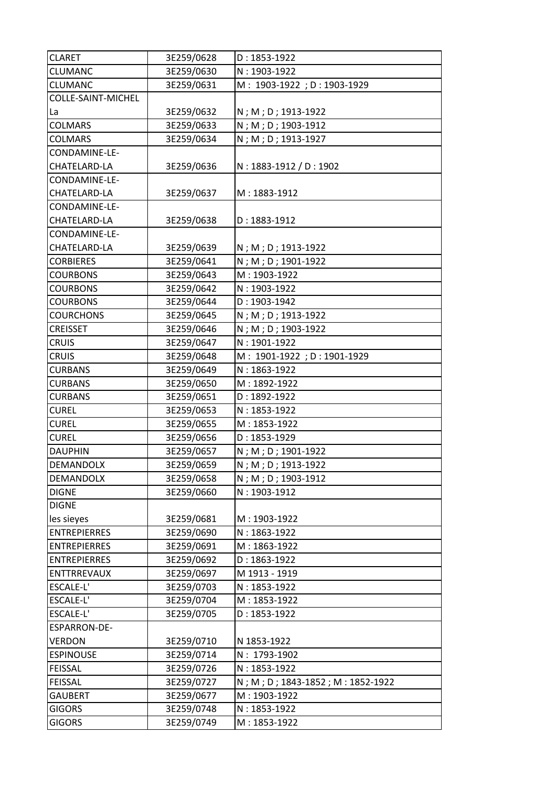| <b>CLARET</b>             | 3E259/0628 | $D: 1853 - 1922$                 |
|---------------------------|------------|----------------------------------|
| <b>CLUMANC</b>            | 3E259/0630 | N: 1903-1922                     |
| <b>CLUMANC</b>            | 3E259/0631 | M: 1903-1922; D: 1903-1929       |
| <b>COLLE-SAINT-MICHEL</b> |            |                                  |
| La                        | 3E259/0632 | N; M; D; 1913-1922               |
| <b>COLMARS</b>            | 3E259/0633 | N; M; D; 1903-1912               |
| <b>COLMARS</b>            | 3E259/0634 | N; M; D; 1913-1927               |
| CONDAMINE-LE-             |            |                                  |
| <b>CHATELARD-LA</b>       | 3E259/0636 | N: 1883-1912 / D: 1902           |
| CONDAMINE-LE-             |            |                                  |
| <b>CHATELARD-LA</b>       | 3E259/0637 | M: 1883-1912                     |
| CONDAMINE-LE-             |            |                                  |
| <b>CHATELARD-LA</b>       | 3E259/0638 | $D: 1883 - 1912$                 |
| CONDAMINE-LE-             |            |                                  |
| <b>CHATELARD-LA</b>       | 3E259/0639 | N; M; D; 1913-1922               |
| <b>CORBIERES</b>          | 3E259/0641 | N; M; D; 1901-1922               |
| <b>COURBONS</b>           | 3E259/0643 | M: 1903-1922                     |
| <b>COURBONS</b>           | 3E259/0642 | N: 1903-1922                     |
| <b>COURBONS</b>           | 3E259/0644 | $D: 1903 - 1942$                 |
| <b>COURCHONS</b>          | 3E259/0645 | N; M; D; 1913-1922               |
| <b>CREISSET</b>           | 3E259/0646 | N; M; D; 1903-1922               |
| <b>CRUIS</b>              | 3E259/0647 | $N: 1901 - 1922$                 |
| <b>CRUIS</b>              | 3E259/0648 | M: 1901-1922; D: 1901-1929       |
| <b>CURBANS</b>            | 3E259/0649 | $N: 1863 - 1922$                 |
| <b>CURBANS</b>            | 3E259/0650 | M: 1892-1922                     |
| <b>CURBANS</b>            | 3E259/0651 | $D: 1892 - 1922$                 |
| <b>CUREL</b>              | 3E259/0653 | $N: 1853 - 1922$                 |
| <b>CUREL</b>              | 3E259/0655 | M: 1853-1922                     |
| <b>CUREL</b>              | 3E259/0656 | $D: 1853 - 1929$                 |
| <b>DAUPHIN</b>            | 3E259/0657 | N; M; D; 1901-1922               |
| <b>DEMANDOLX</b>          | 3E259/0659 | N; M; D; 1913-1922               |
| <b>DEMANDOLX</b>          | 3E259/0658 | N; M; D; 1903-1912               |
| <b>DIGNE</b>              | 3E259/0660 | N: 1903-1912                     |
| <b>DIGNE</b>              |            |                                  |
| les sieyes                | 3E259/0681 | M: 1903-1922                     |
| <b>ENTREPIERRES</b>       | 3E259/0690 | $N: 1863 - 1922$                 |
| <b>ENTREPIERRES</b>       | 3E259/0691 | M: 1863-1922                     |
| <b>ENTREPIERRES</b>       | 3E259/0692 | $D: 1863 - 1922$                 |
| <b>ENTTRREVAUX</b>        | 3E259/0697 | M 1913 - 1919                    |
| <b>ESCALE-L'</b>          | 3E259/0703 | $N: 1853 - 1922$                 |
| <b>ESCALE-L'</b>          | 3E259/0704 | M: 1853-1922                     |
| ESCALE-L'                 | 3E259/0705 | $D: 1853 - 1922$                 |
| ESPARRON-DE-              |            |                                  |
| <b>VERDON</b>             | 3E259/0710 | N 1853-1922                      |
| <b>ESPINOUSE</b>          | 3E259/0714 | N: 1793-1902                     |
| <b>FEISSAL</b>            | 3E259/0726 | $N: 1853 - 1922$                 |
| <b>FEISSAL</b>            | 3E259/0727 | N; M; D; 1843-1852; M: 1852-1922 |
| <b>GAUBERT</b>            | 3E259/0677 | M: 1903-1922                     |
| <b>GIGORS</b>             | 3E259/0748 | $N: 1853 - 1922$                 |
| <b>GIGORS</b>             | 3E259/0749 | M: 1853-1922                     |
|                           |            |                                  |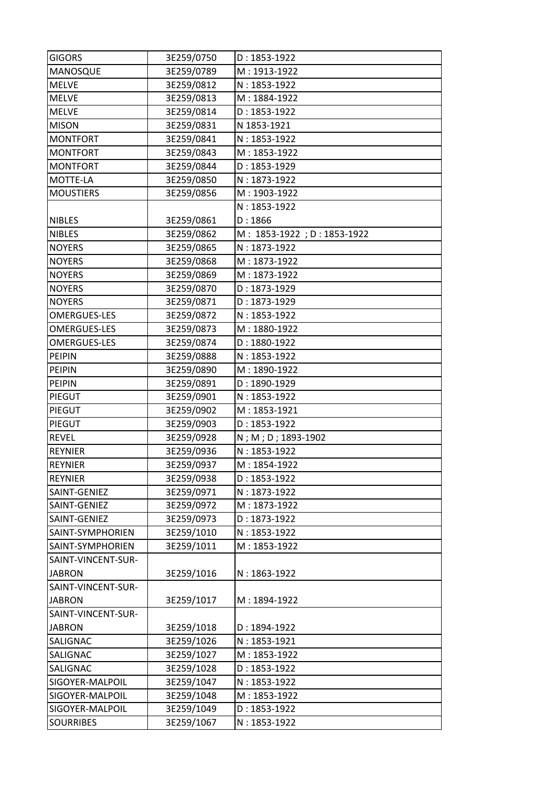| <b>GIGORS</b>       | 3E259/0750 | $D: 1853 - 1922$           |
|---------------------|------------|----------------------------|
| <b>MANOSQUE</b>     | 3E259/0789 | M: 1913-1922               |
| <b>MELVE</b>        | 3E259/0812 | $N: 1853 - 1922$           |
| <b>MELVE</b>        | 3E259/0813 | M: 1884-1922               |
| <b>MELVE</b>        | 3E259/0814 | $D: 1853 - 1922$           |
| <b>MISON</b>        | 3E259/0831 | N 1853-1921                |
| <b>MONTFORT</b>     | 3E259/0841 | $N: 1853 - 1922$           |
| MONTFORT            | 3E259/0843 | M: 1853-1922               |
| <b>MONTFORT</b>     | 3E259/0844 | $D: 1853 - 1929$           |
| MOTTE-LA            | 3E259/0850 | $N: 1873 - 1922$           |
| <b>MOUSTIERS</b>    | 3E259/0856 | M: 1903-1922               |
|                     |            | $N: 1853 - 1922$           |
| <b>NIBLES</b>       | 3E259/0861 | D: 1866                    |
| <b>NIBLES</b>       | 3E259/0862 | M: 1853-1922; D: 1853-1922 |
| <b>NOYERS</b>       | 3E259/0865 | $N: 1873 - 1922$           |
| <b>NOYERS</b>       | 3E259/0868 | M: 1873-1922               |
| <b>NOYERS</b>       | 3E259/0869 | M: 1873-1922               |
| <b>NOYERS</b>       | 3E259/0870 | $D: 1873 - 1929$           |
| <b>NOYERS</b>       | 3E259/0871 | $D: 1873 - 1929$           |
| <b>OMERGUES-LES</b> | 3E259/0872 | $N: 1853 - 1922$           |
| <b>OMERGUES-LES</b> | 3E259/0873 | M: 1880-1922               |
| <b>OMERGUES-LES</b> | 3E259/0874 | $D: 1880 - 1922$           |
| <b>PEIPIN</b>       | 3E259/0888 | $N: 1853 - 1922$           |
| <b>PEIPIN</b>       | 3E259/0890 | M: 1890-1922               |
| <b>PEIPIN</b>       | 3E259/0891 | $D: 1890 - 1929$           |
| PIEGUT              | 3E259/0901 | $N: 1853 - 1922$           |
| PIEGUT              | 3E259/0902 | M: 1853-1921               |
| PIEGUT              | 3E259/0903 | $D: 1853 - 1922$           |
| <b>REVEL</b>        | 3E259/0928 | N; M; D; 1893-1902         |
| <b>REYNIER</b>      | 3E259/0936 | $N: 1853 - 1922$           |
| <b>REYNIER</b>      | 3E259/0937 | M: 1854-1922               |
| <b>REYNIER</b>      | 3E259/0938 | $D: 1853 - 1922$           |
| SAINT-GENIEZ        | 3E259/0971 | $N: 1873 - 1922$           |
| SAINT-GENIEZ        | 3E259/0972 | M: 1873-1922               |
| SAINT-GENIEZ        | 3E259/0973 | $D: 1873 - 1922$           |
| SAINT-SYMPHORIEN    | 3E259/1010 | N: 1853-1922               |
| SAINT-SYMPHORIEN    | 3E259/1011 | M: 1853-1922               |
| SAINT-VINCENT-SUR-  |            |                            |
| <b>JABRON</b>       | 3E259/1016 | $N: 1863 - 1922$           |
| SAINT-VINCENT-SUR-  |            |                            |
| <b>JABRON</b>       | 3E259/1017 | M: 1894-1922               |
| SAINT-VINCENT-SUR-  |            |                            |
| <b>JABRON</b>       | 3E259/1018 | $D: 1894 - 1922$           |
| <b>SALIGNAC</b>     | 3E259/1026 | $N: 1853 - 1921$           |
| SALIGNAC            | 3E259/1027 | M: 1853-1922               |
| <b>SALIGNAC</b>     | 3E259/1028 | $D: 1853 - 1922$           |
| SIGOYER-MALPOIL     | 3E259/1047 | $N: 1853 - 1922$           |
| SIGOYER-MALPOIL     | 3E259/1048 | M: 1853-1922               |
| SIGOYER-MALPOIL     | 3E259/1049 | $D: 1853 - 1922$           |
| <b>SOURRIBES</b>    | 3E259/1067 | $N: 1853 - 1922$           |